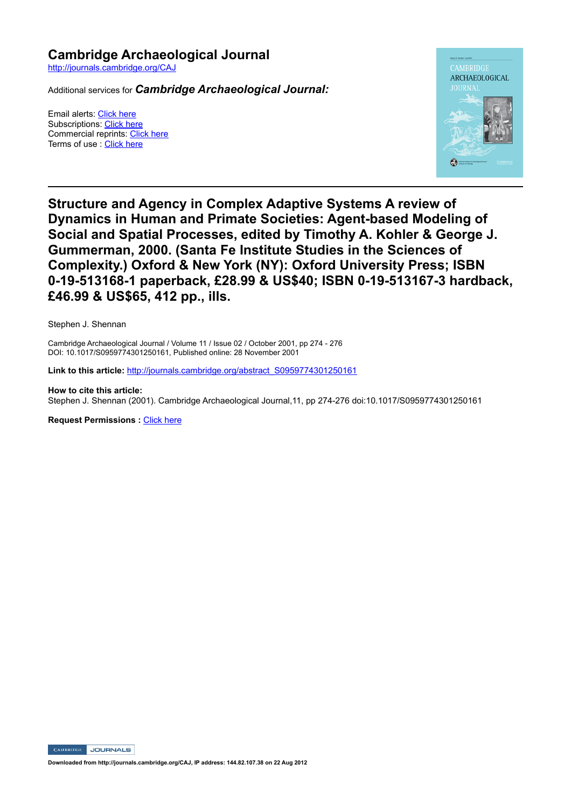**Cambridge Archaeological Journal** http://journals.cambridge.org/CAJ

Additional services for *Cambridge Archaeological Journal:*

Email alerts: Click here Subscriptions: Click here Commercial reprints: Click here Terms of use : Click here



**Structure and Agency in Complex Adaptive Systems A review of Dynamics in Human and Primate Societies: Agent-based Modeling of Social and Spatial Processes, edited by Timothy A. Kohler & George J. Gummerman, 2000. (Santa Fe Institute Studies in the Sciences of Complexity.) Oxford & New York (NY): Oxford University Press; ISBN**  0-19-513168-1 paperback, £28.99 & US\$40; ISBN 0-19-513167-3 hardback, **£46.99 & US\$65, 412 pp., ills.**

Stephen J. Shennan

Cambridge Archaeological Journal / Volume 11 / Issue 02 / October 2001, pp 274 276 DOI: 10.1017/S0959774301250161, Published online: 28 November 2001

Link to this article: http://journals.cambridge.org/abstract\_S0959774301250161

**How to cite this article:** Stephen J. Shennan (2001). Cambridge Archaeological Journal,11, pp 274-276 doi:10.1017/S0959774301250161

**Request Permissions : Click here** 

CAMBRIDGE JOURNALS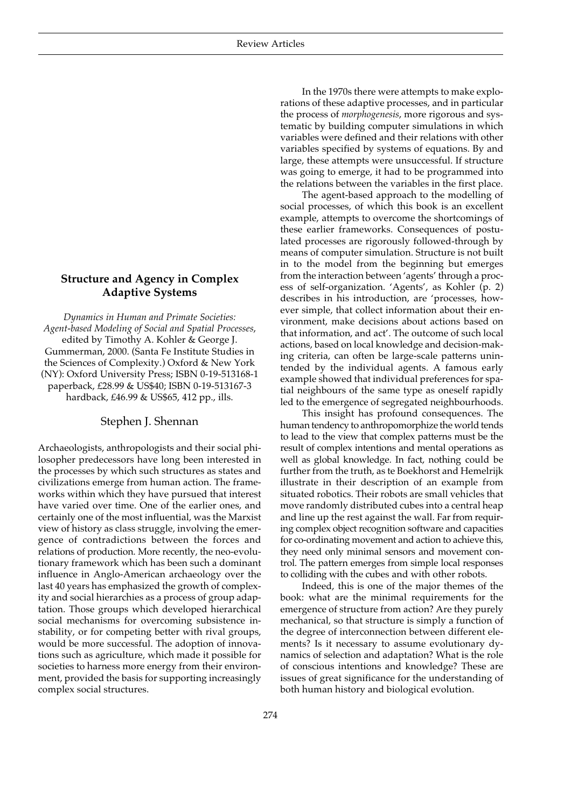## **Structure and Agency in Complex Adaptive Systems**

*Dynamics in Human and Primate Societies: Agent-based Modeling of Social and Spatial Processes*, edited by Timothy A. Kohler & George J. Gummerman, 2000. (Santa Fe Institute Studies in the Sciences of Complexity.) Oxford & New York (NY): Oxford University Press; ISBN 0-19-513168-1 paperback, £28.99 & US\$40; ISBN 0-19-513167-3 hardback, £46.99 & US\$65, 412 pp., ills.

## Stephen J. Shennan

Archaeologists, anthropologists and their social philosopher predecessors have long been interested in the processes by which such structures as states and civilizations emerge from human action. The frameworks within which they have pursued that interest have varied over time. One of the earlier ones, and certainly one of the most influential, was the Marxist view of history as class struggle, involving the emergence of contradictions between the forces and relations of production. More recently, the neo-evolutionary framework which has been such a dominant influence in Anglo-American archaeology over the last 40 years has emphasized the growth of complexity and social hierarchies as a process of group adaptation. Those groups which developed hierarchical social mechanisms for overcoming subsistence instability, or for competing better with rival groups, would be more successful. The adoption of innovations such as agriculture, which made it possible for societies to harness more energy from their environment, provided the basis for supporting increasingly complex social structures.

In the 1970s there were attempts to make explorations of these adaptive processes, and in particular the process of *morphogenesis*, more rigorous and systematic by building computer simulations in which variables were defined and their relations with other variables specified by systems of equations. By and large, these attempts were unsuccessful. If structure was going to emerge, it had to be programmed into the relations between the variables in the first place.

The agent-based approach to the modelling of social processes, of which this book is an excellent example, attempts to overcome the shortcomings of these earlier frameworks. Consequences of postulated processes are rigorously followed-through by means of computer simulation. Structure is not built in to the model from the beginning but emerges from the interaction between 'agents' through a process of self-organization. 'Agents', as Kohler (p. 2) describes in his introduction, are 'processes, however simple, that collect information about their environment, make decisions about actions based on that information, and act'. The outcome of such local actions, based on local knowledge and decision-making criteria, can often be large-scale patterns unintended by the individual agents. A famous early example showed that individual preferences for spatial neighbours of the same type as oneself rapidly led to the emergence of segregated neighbourhoods.

This insight has profound consequences. The human tendency to anthropomorphize the world tends to lead to the view that complex patterns must be the result of complex intentions and mental operations as well as global knowledge. In fact, nothing could be further from the truth, as te Boekhorst and Hemelrijk illustrate in their description of an example from situated robotics. Their robots are small vehicles that move randomly distributed cubes into a central heap and line up the rest against the wall. Far from requiring complex object recognition software and capacities for co-ordinating movement and action to achieve this, they need only minimal sensors and movement control. The pattern emerges from simple local responses to colliding with the cubes and with other robots.

Indeed, this is one of the major themes of the book: what are the minimal requirements for the emergence of structure from action? Are they purely mechanical, so that structure is simply a function of the degree of interconnection between different elements? Is it necessary to assume evolutionary dynamics of selection and adaptation? What is the role of conscious intentions and knowledge? These are issues of great significance for the understanding of both human history and biological evolution.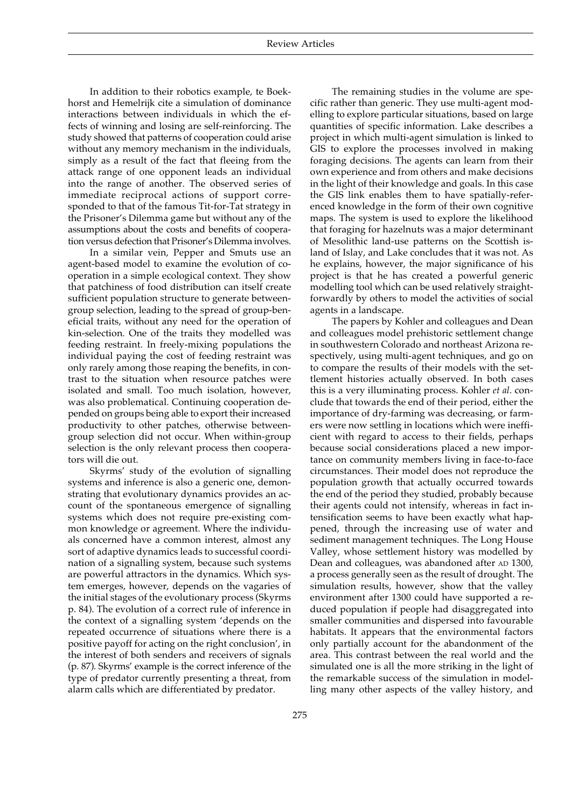In addition to their robotics example, te Boekhorst and Hemelrijk cite a simulation of dominance interactions between individuals in which the effects of winning and losing are self-reinforcing. The study showed that patterns of cooperation could arise without any memory mechanism in the individuals, simply as a result of the fact that fleeing from the attack range of one opponent leads an individual into the range of another. The observed series of immediate reciprocal actions of support corresponded to that of the famous Tit-for-Tat strategy in the Prisoner's Dilemma game but without any of the assumptions about the costs and benefits of cooperation versus defection that Prisoner's Dilemma involves.

In a similar vein, Pepper and Smuts use an agent-based model to examine the evolution of cooperation in a simple ecological context. They show that patchiness of food distribution can itself create sufficient population structure to generate betweengroup selection, leading to the spread of group-beneficial traits, without any need for the operation of kin-selection. One of the traits they modelled was feeding restraint. In freely-mixing populations the individual paying the cost of feeding restraint was only rarely among those reaping the benefits, in contrast to the situation when resource patches were isolated and small. Too much isolation, however, was also problematical. Continuing cooperation depended on groups being able to export their increased productivity to other patches, otherwise betweengroup selection did not occur. When within-group selection is the only relevant process then cooperators will die out.

Skyrms' study of the evolution of signalling systems and inference is also a generic one, demonstrating that evolutionary dynamics provides an account of the spontaneous emergence of signalling systems which does not require pre-existing common knowledge or agreement. Where the individuals concerned have a common interest, almost any sort of adaptive dynamics leads to successful coordination of a signalling system, because such systems are powerful attractors in the dynamics. Which system emerges, however, depends on the vagaries of the initial stages of the evolutionary process (Skyrms p. 84). The evolution of a correct rule of inference in the context of a signalling system 'depends on the repeated occurrence of situations where there is a positive payoff for acting on the right conclusion', in the interest of both senders and receivers of signals (p. 87). Skyrms' example is the correct inference of the type of predator currently presenting a threat, from alarm calls which are differentiated by predator.

The remaining studies in the volume are specific rather than generic. They use multi-agent modelling to explore particular situations, based on large quantities of specific information. Lake describes a project in which multi-agent simulation is linked to GIS to explore the processes involved in making foraging decisions. The agents can learn from their own experience and from others and make decisions in the light of their knowledge and goals. In this case the GIS link enables them to have spatially-referenced knowledge in the form of their own cognitive maps. The system is used to explore the likelihood that foraging for hazelnuts was a major determinant of Mesolithic land-use patterns on the Scottish island of Islay, and Lake concludes that it was not. As he explains, however, the major significance of his project is that he has created a powerful generic modelling tool which can be used relatively straightforwardly by others to model the activities of social agents in a landscape.

The papers by Kohler and colleagues and Dean and colleagues model prehistoric settlement change in southwestern Colorado and northeast Arizona respectively, using multi-agent techniques, and go on to compare the results of their models with the settlement histories actually observed. In both cases this is a very illuminating process. Kohler *et al*. conclude that towards the end of their period, either the importance of dry-farming was decreasing, or farmers were now settling in locations which were inefficient with regard to access to their fields, perhaps because social considerations placed a new importance on community members living in face-to-face circumstances. Their model does not reproduce the population growth that actually occurred towards the end of the period they studied, probably because their agents could not intensify, whereas in fact intensification seems to have been exactly what happened, through the increasing use of water and sediment management techniques. The Long House Valley, whose settlement history was modelled by Dean and colleagues, was abandoned after AD 1300, a process generally seen as the result of drought. The simulation results, however, show that the valley environment after 1300 could have supported a reduced population if people had disaggregated into smaller communities and dispersed into favourable habitats. It appears that the environmental factors only partially account for the abandonment of the area. This contrast between the real world and the simulated one is all the more striking in the light of the remarkable success of the simulation in modelling many other aspects of the valley history, and